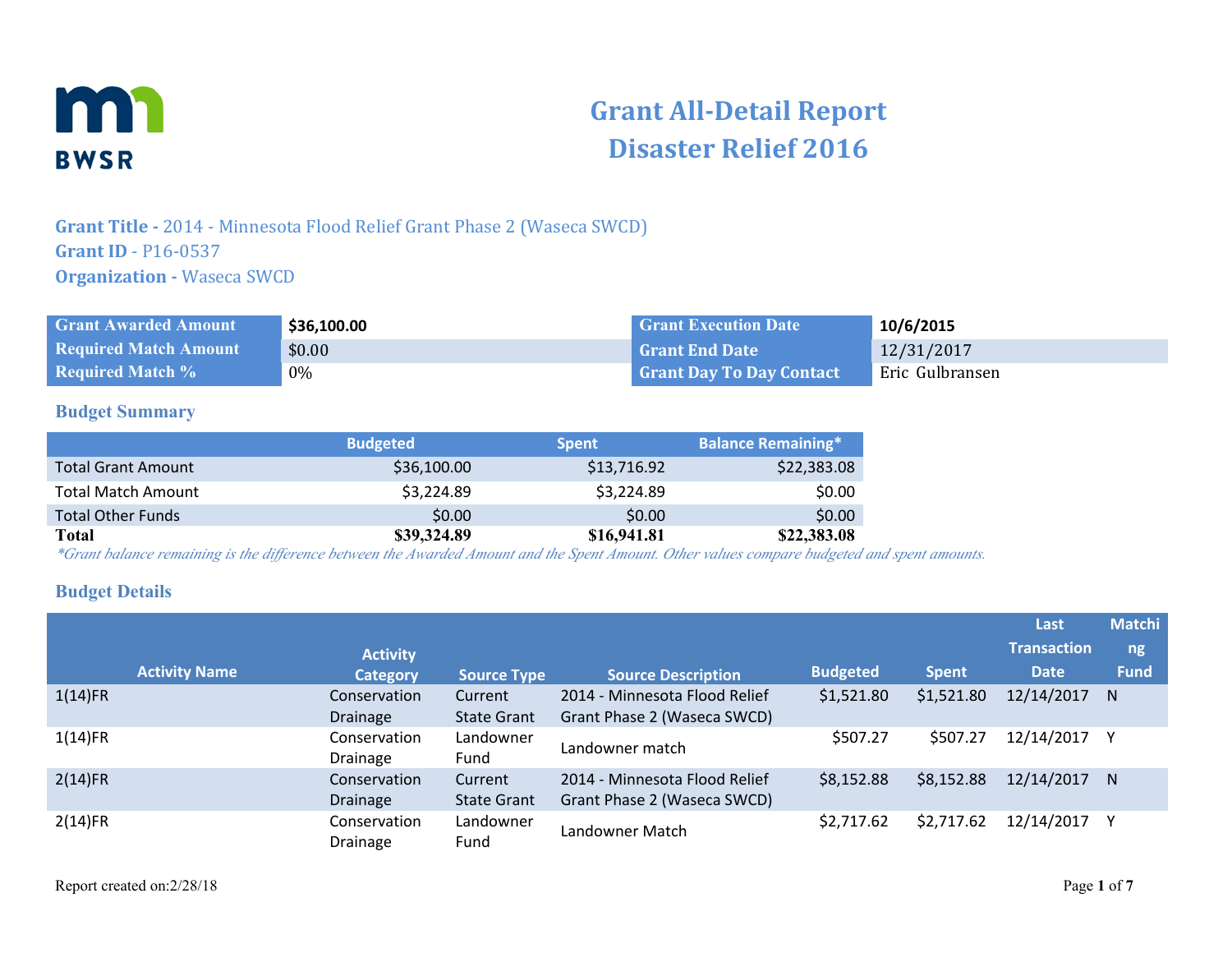

# **Grant All-Detail Report Disaster Relief 2016**

### **Grant Title -** 2014 - Minnesota Flood Relief Grant Phase 2 (Waseca SWCD) **Grant ID** - P16-0537 **Organization - Waseca SWCD**

| <b>Grant Awarded Amount</b>  | \$36,100.00 | <b>Grant Execution Date</b>     | 10/6/2015       |
|------------------------------|-------------|---------------------------------|-----------------|
| <b>Required Match Amount</b> | \$0.00      | <b>Grant End Date</b>           | 12/31/2017      |
| <b>Required Match %</b>      | 0%          | <b>Grant Day To Day Contact</b> | Eric Gulbransen |

#### **Budget Summary**

|                           | <b>Budgeted</b> | <b>Spent</b> | <b>Balance Remaining*</b> |
|---------------------------|-----------------|--------------|---------------------------|
| <b>Total Grant Amount</b> | \$36,100.00     | \$13,716.92  | \$22,383.08               |
| <b>Total Match Amount</b> | \$3,224.89      | \$3,224.89   | \$0.00                    |
| <b>Total Other Funds</b>  | \$0.00          | \$0.00       | \$0.00                    |
| Total                     | \$39,324.89     | \$16,941.81  | \$22,383.08               |

*\*Grant balance remaining is the difference between the Awarded Amount and the Spent Amount. Other values compare budgeted and spent amounts.*

#### **Budget Details**

|         | <b>Activity Name</b> | <b>Activity</b><br><b>Category</b> | <b>Source Type</b>            | <b>Source Description</b>                                    | <b>Budgeted</b> | <b>Spent</b> | Last<br><b>Transaction</b><br><b>Date</b> | <b>Matchi</b><br>ng<br><b>Fund</b> |
|---------|----------------------|------------------------------------|-------------------------------|--------------------------------------------------------------|-----------------|--------------|-------------------------------------------|------------------------------------|
| 1(14)FR |                      | Conservation<br><b>Drainage</b>    | Current<br><b>State Grant</b> | 2014 - Minnesota Flood Relief<br>Grant Phase 2 (Waseca SWCD) | \$1,521.80      | \$1,521.80   | 12/14/2017                                | N.                                 |
| 1(14)FR |                      | Conservation<br><b>Drainage</b>    | Landowner<br>Fund             | Landowner match                                              | \$507.27        | \$507.27     | 12/14/2017                                | Y                                  |
| 2(14)FR |                      | Conservation<br><b>Drainage</b>    | Current<br><b>State Grant</b> | 2014 - Minnesota Flood Relief<br>Grant Phase 2 (Waseca SWCD) | \$8,152.88      | \$8,152.88   | 12/14/2017                                | N                                  |
| 2(14)FR |                      | Conservation<br><b>Drainage</b>    | Landowner<br>Fund             | Landowner Match                                              | \$2,717.62      | \$2,717.62   | 12/14/2017                                |                                    |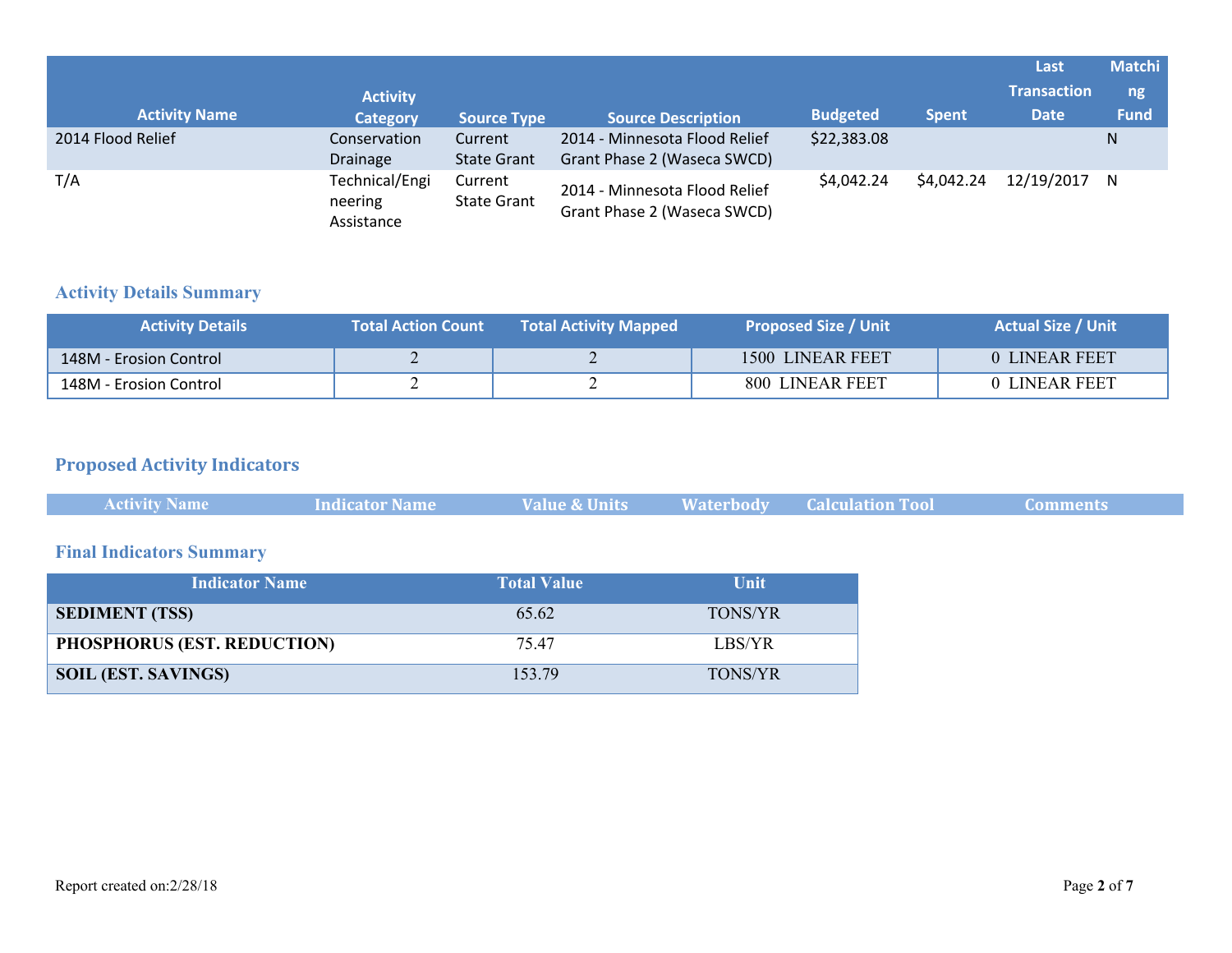|                      |                                         |                               |                                                              |                 |              | Last               | <b>Matchi</b> |
|----------------------|-----------------------------------------|-------------------------------|--------------------------------------------------------------|-----------------|--------------|--------------------|---------------|
|                      | <b>Activity</b>                         |                               |                                                              |                 |              | <b>Transaction</b> | ng            |
| <b>Activity Name</b> | <b>Category</b>                         | <b>Source Type</b>            | <b>Source Description</b>                                    | <b>Budgeted</b> | <b>Spent</b> | <b>Date</b>        | <b>Fund</b>   |
| 2014 Flood Relief    | Conservation                            | Current                       | 2014 - Minnesota Flood Relief                                | \$22,383.08     |              |                    | N             |
|                      | <b>Drainage</b>                         | <b>State Grant</b>            | Grant Phase 2 (Waseca SWCD)                                  |                 |              |                    |               |
| T/A                  | Technical/Engi<br>neering<br>Assistance | Current<br><b>State Grant</b> | 2014 - Minnesota Flood Relief<br>Grant Phase 2 (Waseca SWCD) | \$4,042.24      | \$4,042.24   | 12/19/2017 N       |               |

### **Activity Details Summary**

| <b>Activity Details</b> | <b>Total Action Count</b> | <b>Total Activity Mapped</b> | <b>Proposed Size / Unit</b> | <b>Actual Size / Unit</b> |
|-------------------------|---------------------------|------------------------------|-----------------------------|---------------------------|
| 148M - Erosion Control  | $\overline{ }$            |                              | 1500 LINEAR FEET            | 0 LINEAR FEET             |
| 148M - Erosion Control  |                           | _                            | 800 LINEAR FEET             | 0 LINEAR FEET             |

# **Proposed Activity Indicators**

T

| <b>Activity Name</b>               | <b>Indicator Name</b> | Value & Units      | <b>Waterbody</b> | <b>Calculation Tool</b> | <b>Comments</b> |
|------------------------------------|-----------------------|--------------------|------------------|-------------------------|-----------------|
|                                    |                       |                    |                  |                         |                 |
| <b>Final Indicators Summary</b>    |                       |                    |                  |                         |                 |
| <b>Indicator Name</b>              |                       | <b>Total Value</b> | Unit             |                         |                 |
| <b>SEDIMENT (TSS)</b>              |                       | 65.62              | TONS/YR          |                         |                 |
| <b>PHOSPHORUS (EST. REDUCTION)</b> |                       | 75.47              | LBS/YR           |                         |                 |
| <b>SOIL (EST. SAVINGS)</b>         |                       | 153.79             | TONS/YR          |                         |                 |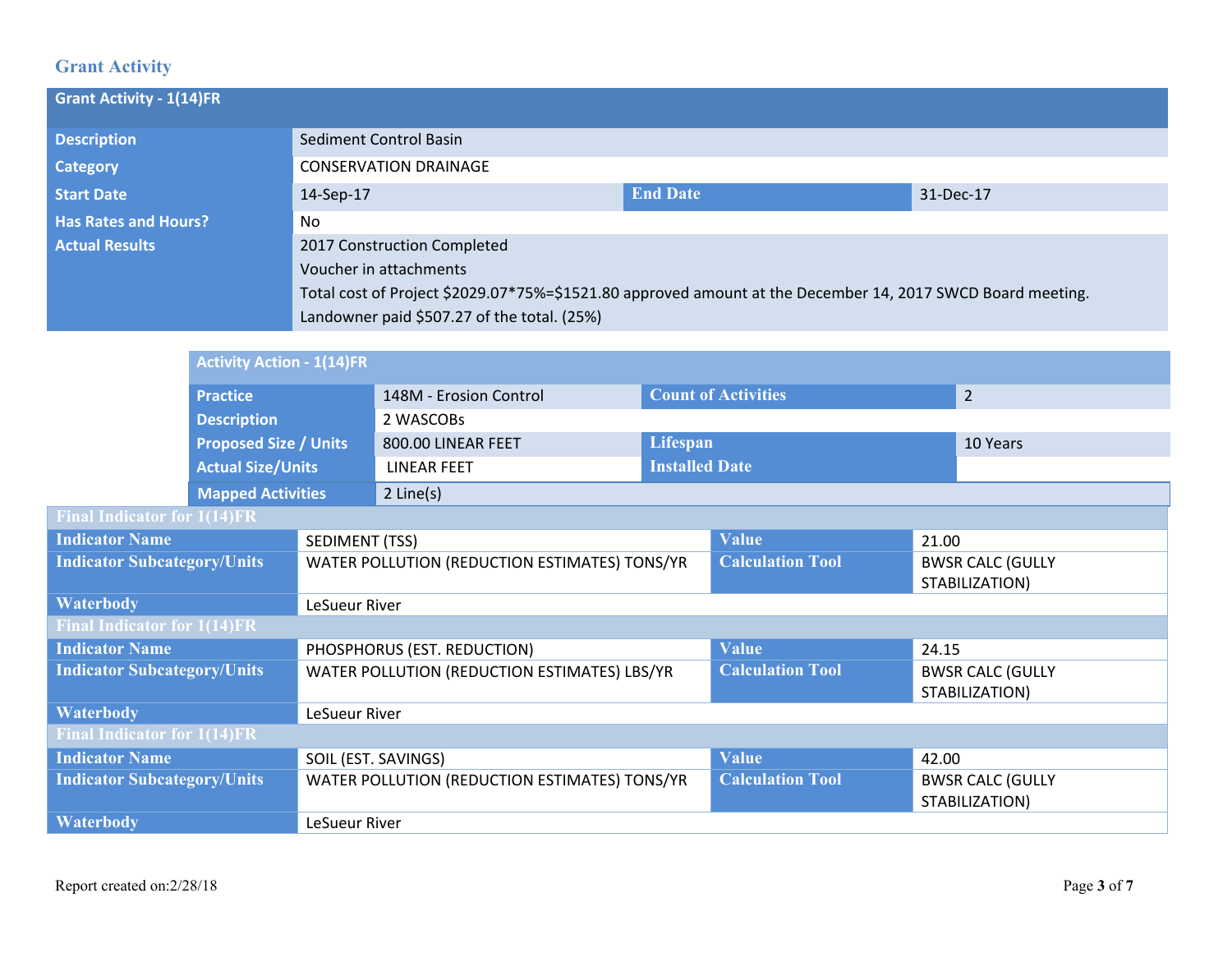# **Grant Activity**

| <b>Grant Activity - 1(14)FR</b> |                                                                                                            |                 |           |  |  |  |  |
|---------------------------------|------------------------------------------------------------------------------------------------------------|-----------------|-----------|--|--|--|--|
| <b>Description</b>              | Sediment Control Basin                                                                                     |                 |           |  |  |  |  |
| <b>Category</b>                 | <b>CONSERVATION DRAINAGE</b>                                                                               |                 |           |  |  |  |  |
| <b>Start Date</b>               | 14-Sep-17                                                                                                  | <b>End Date</b> | 31-Dec-17 |  |  |  |  |
| <b>Has Rates and Hours?</b>     | <b>No</b>                                                                                                  |                 |           |  |  |  |  |
| <b>Actual Results</b>           | 2017 Construction Completed                                                                                |                 |           |  |  |  |  |
|                                 | Voucher in attachments                                                                                     |                 |           |  |  |  |  |
|                                 | Total cost of Project \$2029.07*75%=\$1521.80 approved amount at the December 14, 2017 SWCD Board meeting. |                 |           |  |  |  |  |
|                                 | Landowner paid \$507.27 of the total. (25%)                                                                |                 |           |  |  |  |  |

|                                    | <b>Activity Action - 1(14)FR</b> |                |                                               |                       |                            |                                           |                                           |  |
|------------------------------------|----------------------------------|----------------|-----------------------------------------------|-----------------------|----------------------------|-------------------------------------------|-------------------------------------------|--|
|                                    | <b>Practice</b>                  |                | 148M - Erosion Control                        |                       | <b>Count of Activities</b> |                                           | $\overline{2}$                            |  |
|                                    | <b>Description</b>               |                | 2 WASCOBs                                     |                       |                            |                                           |                                           |  |
|                                    | <b>Proposed Size / Units</b>     |                | 800.00 LINEAR FEET                            | Lifespan              |                            |                                           | 10 Years                                  |  |
|                                    | <b>Actual Size/Units</b>         |                | <b>LINEAR FEET</b>                            | <b>Installed Date</b> |                            |                                           |                                           |  |
|                                    | <b>Mapped Activities</b>         |                | $2$ Line(s)                                   |                       |                            |                                           |                                           |  |
| <b>Final Indicator for 1(14)FR</b> |                                  |                |                                               |                       |                            |                                           |                                           |  |
| <b>Indicator Name</b>              |                                  | SEDIMENT (TSS) |                                               |                       | <b>Value</b>               | 21.00                                     |                                           |  |
| <b>Indicator Subcategory/Units</b> |                                  |                | WATER POLLUTION (REDUCTION ESTIMATES) TONS/YR |                       | <b>Calculation Tool</b>    | <b>BWSR CALC (GULLY</b><br>STABILIZATION) |                                           |  |
| <b>Waterbody</b>                   |                                  | LeSueur River  |                                               |                       |                            |                                           |                                           |  |
| <b>Final Indicator for 1(14)FR</b> |                                  |                |                                               |                       |                            |                                           |                                           |  |
| <b>Indicator Name</b>              |                                  |                | PHOSPHORUS (EST. REDUCTION)                   |                       | <b>Value</b>               | 24.15                                     |                                           |  |
| <b>Indicator Subcategory/Units</b> |                                  |                | WATER POLLUTION (REDUCTION ESTIMATES) LBS/YR  |                       | <b>Calculation Tool</b>    |                                           | <b>BWSR CALC (GULLY</b><br>STABILIZATION) |  |
| <b>Waterbody</b>                   |                                  | LeSueur River  |                                               |                       |                            |                                           |                                           |  |
| <b>Final Indicator for 1(14)FR</b> |                                  |                |                                               |                       |                            |                                           |                                           |  |
| <b>Indicator Name</b>              | SOIL (EST. SAVINGS)              |                |                                               |                       | <b>Value</b>               | 42.00                                     |                                           |  |
| <b>Indicator Subcategory/Units</b> |                                  |                | WATER POLLUTION (REDUCTION ESTIMATES) TONS/YR |                       | <b>Calculation Tool</b>    |                                           | <b>BWSR CALC (GULLY</b><br>STABILIZATION) |  |
| Waterbody                          |                                  | LeSueur River  |                                               |                       |                            |                                           |                                           |  |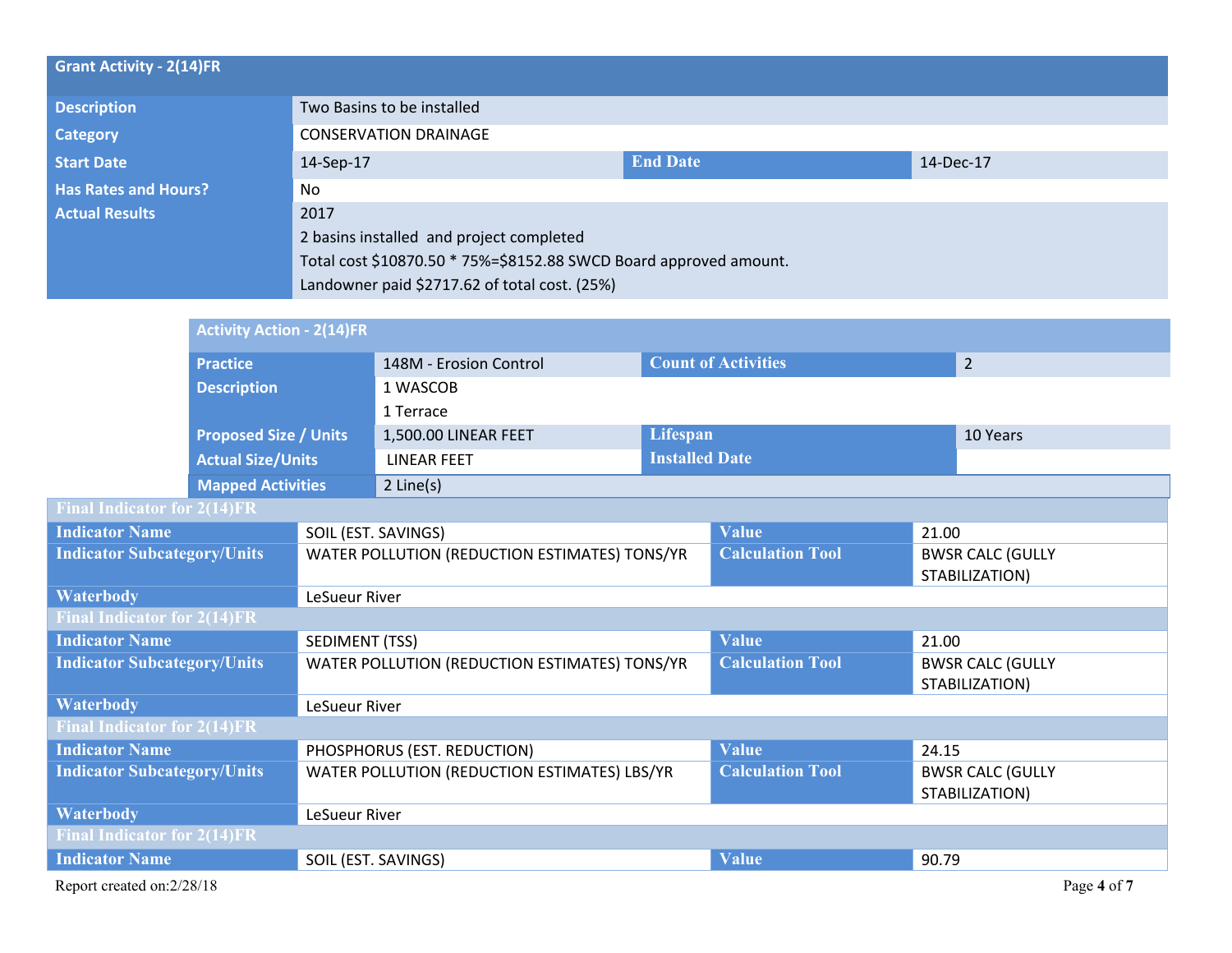| <b>Grant Activity - 2(14)FR</b> |                                                                   |                 |           |  |  |  |
|---------------------------------|-------------------------------------------------------------------|-----------------|-----------|--|--|--|
| <b>Description</b>              | Two Basins to be installed                                        |                 |           |  |  |  |
| <b>Category</b>                 | <b>CONSERVATION DRAINAGE</b>                                      |                 |           |  |  |  |
| <b>Start Date</b>               | 14-Sep-17                                                         | <b>End Date</b> | 14-Dec-17 |  |  |  |
| <b>Has Rates and Hours?</b>     | <b>No</b>                                                         |                 |           |  |  |  |
| <b>Actual Results</b>           | 2017                                                              |                 |           |  |  |  |
|                                 | 2 basins installed and project completed                          |                 |           |  |  |  |
|                                 | Total cost \$10870.50 * 75%=\$8152.88 SWCD Board approved amount. |                 |           |  |  |  |
|                                 | Landowner paid \$2717.62 of total cost. (25%)                     |                 |           |  |  |  |

|                                    | <b>Activity Action - 2(14)FR</b>                         |                                              |                                               |                         |                            |                                           |                                           |  |
|------------------------------------|----------------------------------------------------------|----------------------------------------------|-----------------------------------------------|-------------------------|----------------------------|-------------------------------------------|-------------------------------------------|--|
|                                    | <b>Practice</b>                                          |                                              | 148M - Erosion Control                        |                         | <b>Count of Activities</b> |                                           | $\overline{2}$                            |  |
|                                    | <b>Description</b>                                       |                                              | 1 WASCOB                                      |                         |                            |                                           |                                           |  |
|                                    |                                                          |                                              | 1 Terrace                                     |                         |                            |                                           |                                           |  |
|                                    | <b>Proposed Size / Units</b><br><b>Actual Size/Units</b> |                                              | 1,500.00 LINEAR FEET                          | Lifespan                |                            |                                           | 10 Years                                  |  |
|                                    |                                                          |                                              | <b>LINEAR FEET</b>                            | <b>Installed Date</b>   |                            |                                           |                                           |  |
|                                    | <b>Mapped Activities</b>                                 |                                              | $2$ Line(s)                                   |                         |                            |                                           |                                           |  |
| <b>Final Indicator for 2(14)FR</b> |                                                          |                                              |                                               |                         |                            |                                           |                                           |  |
| <b>Indicator Name</b>              |                                                          |                                              | SOIL (EST. SAVINGS)                           |                         | <b>Value</b>               | 21.00                                     |                                           |  |
| <b>Indicator Subcategory/Units</b> |                                                          |                                              | WATER POLLUTION (REDUCTION ESTIMATES) TONS/YR |                         | <b>Calculation Tool</b>    |                                           | <b>BWSR CALC (GULLY</b><br>STABILIZATION) |  |
| <b>Waterbody</b>                   |                                                          | LeSueur River                                |                                               |                         |                            |                                           |                                           |  |
| <b>Final Indicator for 2(14)FR</b> |                                                          |                                              |                                               |                         |                            |                                           |                                           |  |
| <b>Indicator Name</b>              |                                                          | SEDIMENT (TSS)                               |                                               |                         | <b>Value</b>               |                                           | 21.00                                     |  |
| <b>Indicator Subcategory/Units</b> |                                                          |                                              | WATER POLLUTION (REDUCTION ESTIMATES) TONS/YR |                         | <b>Calculation Tool</b>    | <b>BWSR CALC (GULLY</b><br>STABILIZATION) |                                           |  |
| <b>Waterbody</b>                   |                                                          | LeSueur River                                |                                               |                         |                            |                                           |                                           |  |
| <b>Final Indicator for 2(14)FR</b> |                                                          |                                              |                                               |                         |                            |                                           |                                           |  |
| <b>Indicator Name</b>              |                                                          |                                              | PHOSPHORUS (EST. REDUCTION)                   |                         | <b>Value</b>               | 24.15                                     |                                           |  |
| <b>Indicator Subcategory/Units</b> |                                                          | WATER POLLUTION (REDUCTION ESTIMATES) LBS/YR |                                               | <b>Calculation Tool</b> |                            | <b>BWSR CALC (GULLY</b><br>STABILIZATION) |                                           |  |
| <b>Waterbody</b>                   |                                                          | LeSueur River                                |                                               |                         |                            |                                           |                                           |  |
| <b>Final Indicator for 2(14)FR</b> |                                                          |                                              |                                               |                         |                            |                                           |                                           |  |
| <b>Indicator Name</b>              |                                                          |                                              | SOIL (EST. SAVINGS)                           |                         | <b>Value</b>               | 90.79                                     |                                           |  |
| Report created on: 2/28/18         |                                                          |                                              |                                               |                         |                            |                                           | Page 4 of 7                               |  |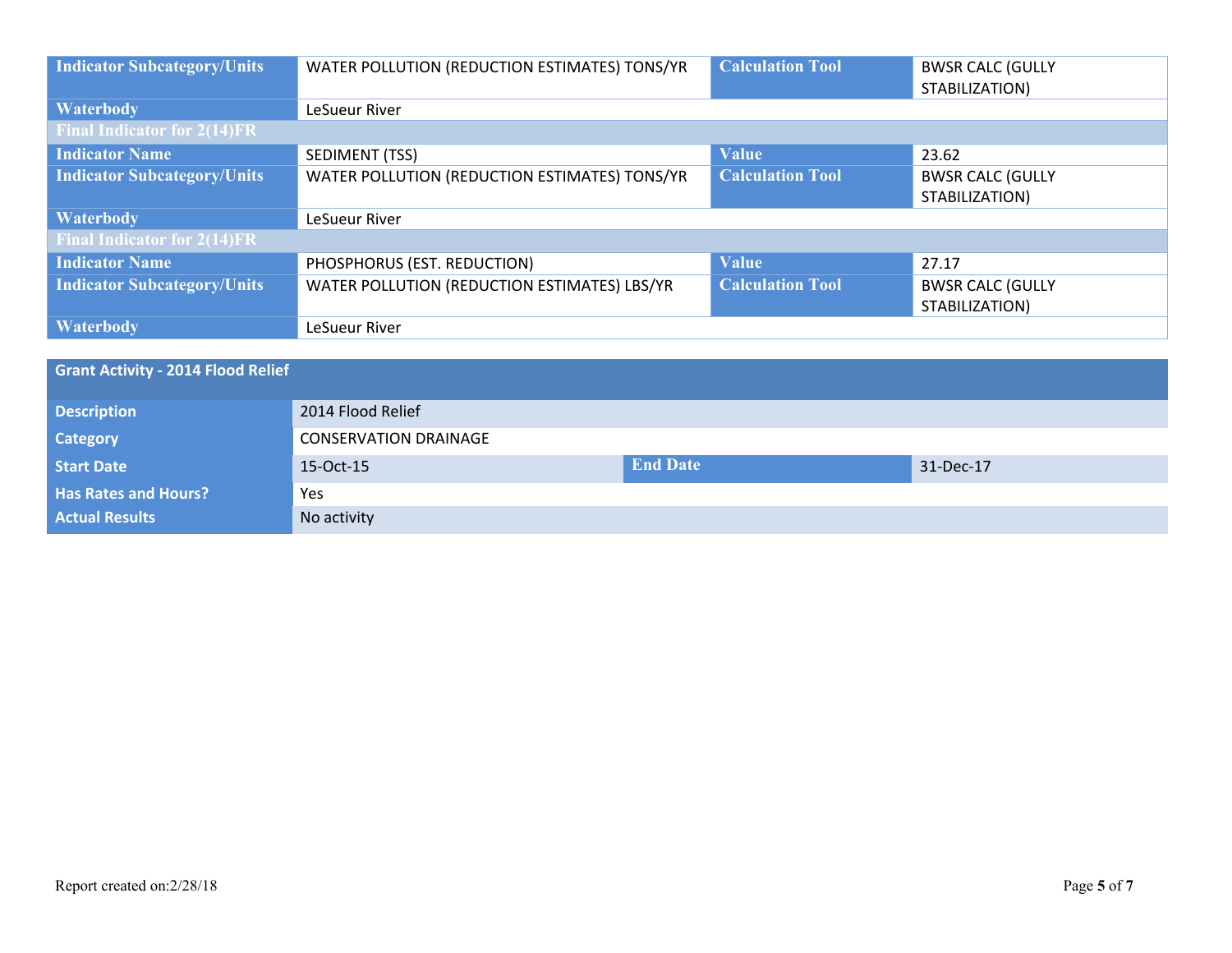| <b>Grant Activity - 2014 Flood Relief</b> |                              |                 |           |  |  |  |  |
|-------------------------------------------|------------------------------|-----------------|-----------|--|--|--|--|
| <b>Description</b>                        | 2014 Flood Relief            |                 |           |  |  |  |  |
| <b>Category</b>                           | <b>CONSERVATION DRAINAGE</b> |                 |           |  |  |  |  |
| <b>Start Date</b>                         | 15-Oct-15                    | <b>End Date</b> | 31-Dec-17 |  |  |  |  |
| <b>Has Rates and Hours?</b>               | Yes                          |                 |           |  |  |  |  |
| <b>Actual Results</b>                     | No activity                  |                 |           |  |  |  |  |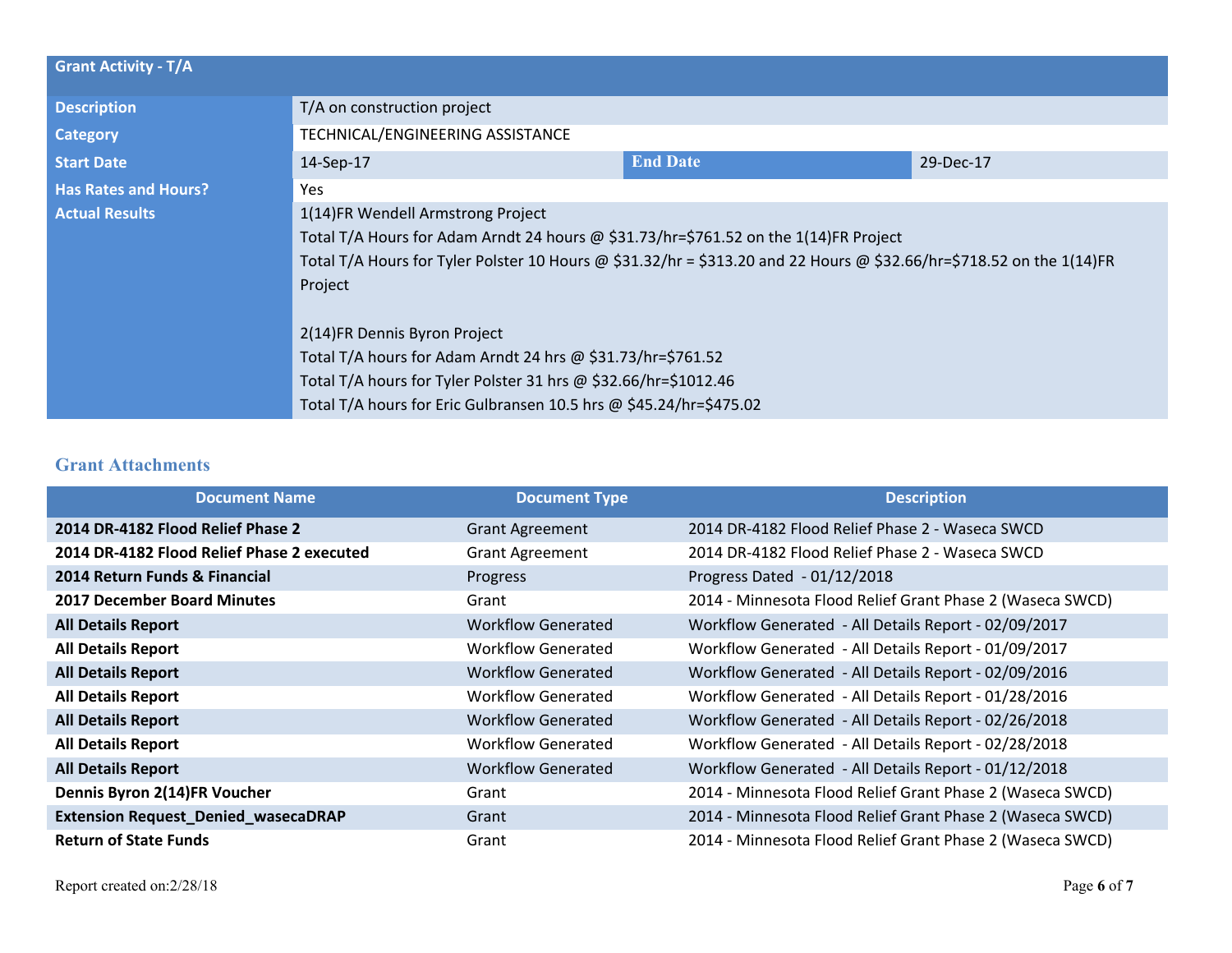| <b>Grant Activity - T/A</b> |                                                                                                                                                                                                                                                              |                 |           |  |  |
|-----------------------------|--------------------------------------------------------------------------------------------------------------------------------------------------------------------------------------------------------------------------------------------------------------|-----------------|-----------|--|--|
| <b>Description</b>          | T/A on construction project                                                                                                                                                                                                                                  |                 |           |  |  |
| <b>Category</b>             | TECHNICAL/ENGINEERING ASSISTANCE                                                                                                                                                                                                                             |                 |           |  |  |
| <b>Start Date</b>           | 14-Sep-17                                                                                                                                                                                                                                                    | <b>End Date</b> | 29-Dec-17 |  |  |
| <b>Has Rates and Hours?</b> | <b>Yes</b>                                                                                                                                                                                                                                                   |                 |           |  |  |
| <b>Actual Results</b>       | 1(14)FR Wendell Armstrong Project<br>Total T/A Hours for Adam Arndt 24 hours @ \$31.73/hr=\$761.52 on the 1(14)FR Project<br>Total T/A Hours for Tyler Polster 10 Hours @ \$31.32/hr = \$313.20 and 22 Hours @ \$32.66/hr=\$718.52 on the 1(14)FR<br>Project |                 |           |  |  |
|                             |                                                                                                                                                                                                                                                              |                 |           |  |  |
|                             | 2(14)FR Dennis Byron Project<br>Total T/A hours for Adam Arndt 24 hrs @ \$31.73/hr=\$761.52<br>Total T/A hours for Tyler Polster 31 hrs @ \$32.66/hr=\$1012.46<br>Total T/A hours for Eric Gulbransen 10.5 hrs @ \$45.24/hr=\$475.02                         |                 |           |  |  |

### **Grant Attachments**

| <b>Document Name</b>                       | <b>Document Type</b>      | <b>Description</b>                                        |
|--------------------------------------------|---------------------------|-----------------------------------------------------------|
| 2014 DR-4182 Flood Relief Phase 2          | <b>Grant Agreement</b>    | 2014 DR-4182 Flood Relief Phase 2 - Waseca SWCD           |
| 2014 DR-4182 Flood Relief Phase 2 executed | <b>Grant Agreement</b>    | 2014 DR-4182 Flood Relief Phase 2 - Waseca SWCD           |
| 2014 Return Funds & Financial              | Progress                  | Progress Dated - 01/12/2018                               |
| <b>2017 December Board Minutes</b>         | Grant                     | 2014 - Minnesota Flood Relief Grant Phase 2 (Waseca SWCD) |
| <b>All Details Report</b>                  | <b>Workflow Generated</b> | Workflow Generated - All Details Report - 02/09/2017      |
| <b>All Details Report</b>                  | <b>Workflow Generated</b> | Workflow Generated - All Details Report - 01/09/2017      |
| <b>All Details Report</b>                  | <b>Workflow Generated</b> | Workflow Generated - All Details Report - 02/09/2016      |
| <b>All Details Report</b>                  | <b>Workflow Generated</b> | Workflow Generated - All Details Report - 01/28/2016      |
| <b>All Details Report</b>                  | <b>Workflow Generated</b> | Workflow Generated - All Details Report - 02/26/2018      |
| <b>All Details Report</b>                  | Workflow Generated        | Workflow Generated - All Details Report - 02/28/2018      |
| <b>All Details Report</b>                  | <b>Workflow Generated</b> | Workflow Generated - All Details Report - 01/12/2018      |
| Dennis Byron 2(14)FR Voucher               | Grant                     | 2014 - Minnesota Flood Relief Grant Phase 2 (Waseca SWCD) |
| <b>Extension Request_Denied_wasecaDRAP</b> | Grant                     | 2014 - Minnesota Flood Relief Grant Phase 2 (Waseca SWCD) |
| <b>Return of State Funds</b>               | Grant                     | 2014 - Minnesota Flood Relief Grant Phase 2 (Waseca SWCD) |